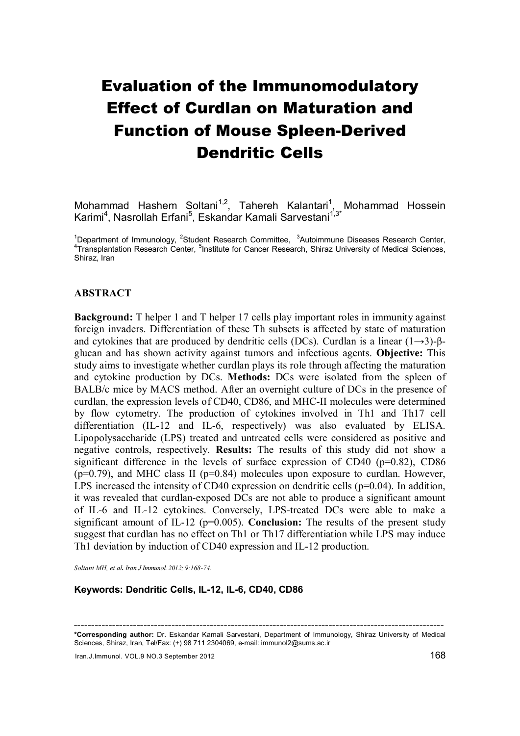# Evaluation of the Immunomodulatory Effect of Curdlan on Maturation and Function of Mouse Spleen-Derived Dendritic Cells

Mohammad Hashem Soltani<sup>1,2</sup>, Tahereh Kalantari<sup>1</sup>, Mohammad Hossein Karimi<sup>4</sup>, Nasrollah Erfani<sup>5</sup>, Eskandar Kamali Sarvestani<sup>1,3\*</sup>

<sup>1</sup>Department of Immunology, <sup>2</sup>Student Research Committee, <sup>3</sup>Autoimmune Diseases Research Center, <sup>4</sup>Transplantation Becoggies Center, <sup>5</sup>Institute for Capcer Becoggies Shiraz University of Modical Sciences Transplantation Research Center, <sup>5</sup>Institute for Cancer Research, Shiraz University of Medical Sciences, Shiraz, Iran

## **ABSTRACT**

Background: T helper 1 and T helper 17 cells play important roles in immunity against foreign invaders. Differentiation of these Th subsets is affected by state of maturation and cytokines that are produced by dendritic cells (DCs). Curdlan is a linear  $(1\rightarrow3)$ - $\beta$ glucan and has shown activity against tumors and infectious agents. Objective: This study aims to investigate whether curdlan plays its role through affecting the maturation and cytokine production by DCs. Methods: DCs were isolated from the spleen of BALB/c mice by MACS method. After an overnight culture of DCs in the presence of curdlan, the expression levels of CD40, CD86, and MHC-II molecules were determined by flow cytometry. The production of cytokines involved in Th1 and Th17 cell differentiation (IL-12 and IL-6, respectively) was also evaluated by ELISA. Lipopolysaccharide (LPS) treated and untreated cells were considered as positive and negative controls, respectively. Results: The results of this study did not show a significant difference in the levels of surface expression of  $CD40$  ( $p=0.82$ ),  $CD86$  $(p=0.79)$ , and MHC class II ( $p=0.84$ ) molecules upon exposure to curdlan. However, LPS increased the intensity of CD40 expression on dendritic cells (p=0.04). In addition, it was revealed that curdlan-exposed DCs are not able to produce a significant amount of IL-6 and IL-12 cytokines. Conversely, LPS-treated DCs were able to make a significant amount of IL-12 ( $p=0.005$ ). Conclusion: The results of the present study suggest that curdlan has no effect on Th1 or Th17 differentiation while LPS may induce Th1 deviation by induction of CD40 expression and IL-12 production.

*Soltani MH, et al. Iran J Immunol. 2012; 9:168-74.* 

## Keywords: Dendritic Cells, IL-12, IL-6, CD40, CD86

-------------------------------------------------------------------------- -------------------------------- \*Corresponding author: Dr. Eskandar Kamali Sarvestani, Department of Immunology, Shiraz University of Medical Sciences, Shiraz, Iran, Tel/Fax: (+) 98 711 2304069, e-mail: immunol2@sums.ac.ir

Iran.J.Immunol. VOL.9 NO.3 September 2012 168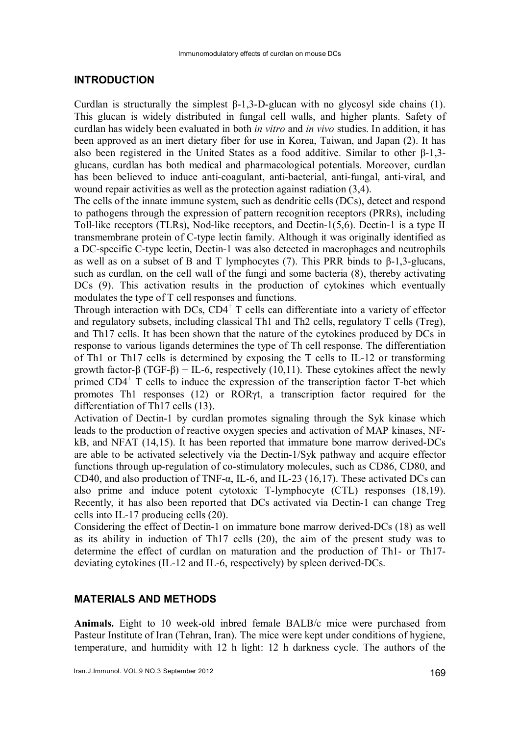#### INTRODUCTION

Curdlan is structurally the simplest β-1,3-D-glucan with no glycosyl side chains (1). This glucan is widely distributed in fungal cell walls, and higher plants. Safety of curdlan has widely been evaluated in both *in vitro* and *in vivo* studies. In addition, it has been approved as an inert dietary fiber for use in Korea, Taiwan, and Japan (2). It has also been registered in the United States as a food additive. Similar to other β-1,3 glucans, curdlan has both medical and pharmacological potentials. Moreover, curdlan has been believed to induce anti-coagulant, anti-bacterial, anti-fungal, anti-viral, and wound repair activities as well as the protection against radiation (3,4).

The cells of the innate immune system, such as dendritic cells (DCs), detect and respond to pathogens through the expression of pattern recognition receptors (PRRs), including Toll-like receptors (TLRs), Nod-like receptors, and Dectin-1(5,6). Dectin-1 is a type II transmembrane protein of C-type lectin family. Although it was originally identified as a DC-specific C-type lectin, Dectin-1 was also detected in macrophages and neutrophils as well as on a subset of B and T lymphocytes (7). This PRR binds to  $\beta$ -1,3-glucans, such as curdlan, on the cell wall of the fungi and some bacteria (8), thereby activating DCs (9). This activation results in the production of cytokines which eventually modulates the type of T cell responses and functions.

Through interaction with  $DCs$ ,  $CD4^+$  T cells can differentiate into a variety of effector and regulatory subsets, including classical Th1 and Th2 cells, regulatory T cells (Treg), and Th17 cells. It has been shown that the nature of the cytokines produced by DCs in response to various ligands determines the type of Th cell response. The differentiation of Th1 or Th17 cells is determined by exposing the T cells to IL-12 or transforming growth factor-β (TGF-β) + IL-6, respectively (10,11). These cytokines affect the newly primed CD4<sup>+</sup> T cells to induce the expression of the transcription factor T-bet which promotes Th1 responses (12) or RORγt, a transcription factor required for the differentiation of Th17 cells (13).

Activation of Dectin-1 by curdlan promotes signaling through the Syk kinase which leads to the production of reactive oxygen species and activation of MAP kinases, NFkB, and NFAT (14,15). It has been reported that immature bone marrow derived-DCs are able to be activated selectively via the Dectin-1/Syk pathway and acquire effector functions through up-regulation of co-stimulatory molecules, such as CD86, CD80, and CD40, and also production of TNF- $\alpha$ , IL-6, and IL-23 (16,17). These activated DCs can also prime and induce potent cytotoxic T-lymphocyte (CTL) responses (18,19). Recently, it has also been reported that DCs activated via Dectin-1 can change Treg cells into IL-17 producing cells (20).

Considering the effect of Dectin-1 on immature bone marrow derived-DCs (18) as well as its ability in induction of Th17 cells (20), the aim of the present study was to determine the effect of curdlan on maturation and the production of Th1- or Th17 deviating cytokines (IL-12 and IL-6, respectively) by spleen derived-DCs.

## MATERIALS AND METHODS

Animals. Eight to 10 week-old inbred female BALB/c mice were purchased from Pasteur Institute of Iran (Tehran, Iran). The mice were kept under conditions of hygiene, temperature, and humidity with 12 h light: 12 h darkness cycle. The authors of the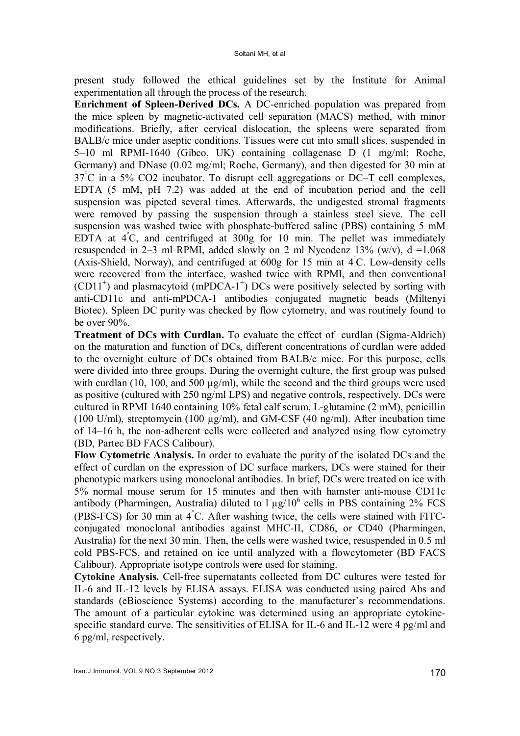present study followed the ethical guidelines set by the Institute for Animal experimentation all through the process of the research.

Enrichment of Spleen-Derived DCs. A DC-enriched population was prepared from the mice spleen by magnetic-activated cell separation (MACS) method, with minor modifications. Briefly, after cervical dislocation, the spleens were separated from BALB/c mice under aseptic conditions. Tissues were cut into small slices, suspended in 5–10 ml RPMI-1640 (Gibco, UK) containing collagenase D (1 mg/ml; Roche, Germany) and DNase (0.02 mg/ml; Roche, Germany), and then digested for 30 min at 37 C in a 5% CO2 incubator. To disrupt cell aggregations or DC–T cell complexes, EDTA (5 mM, pH 7.2) was added at the end of incubation period and the cell suspension was pipeted several times. Afterwards, the undigested stromal fragments were removed by passing the suspension through a stainless steel sieve. The cell suspension was washed twice with phosphate-buffered saline (PBS) containing 5 mM EDTA at  $4^{\circ}$ C, and centrifuged at 300g for 10 min. The pellet was immediately resuspended in 2–3 ml RPMI, added slowly on 2 ml Nycodenz 13% (w/v),  $d = 1.068$ (Axis-Shield, Norway), and centrifuged at  $600g$  for 15 min at  $4\textdegree$ C. Low-density cells were recovered from the interface, washed twice with RPMI, and then conventional  $(CD11<sup>+</sup>)$  and plasmacytoid (mPDCA-1<sup>+</sup>) DCs were positively selected by sorting with anti-CD11c and anti-mPDCA-1 antibodies conjugated magnetic beads (Miltenyi Biotec). Spleen DC purity was checked by flow cytometry, and was routinely found to be over 90%.

Treatment of DCs with Curdlan. To evaluate the effect of curdlan (Sigma-Aldrich) on the maturation and function of DCs, different concentrations of curdlan were added to the overnight culture of DCs obtained from BALB/c mice. For this purpose, cells were divided into three groups. During the overnight culture, the first group was pulsed with curdlan (10, 100, and 500  $\mu$ g/ml), while the second and the third groups were used as positive (cultured with 250 ng/ml LPS) and negative controls, respectively. DCs were cultured in RPMI 1640 containing 10% fetal calf serum, L-glutamine (2 mM), penicillin (100 U/ml), streptomycin (100 µg/ml), and GM-CSF (40 ng/ml). After incubation time of 14–16 h, the non-adherent cells were collected and analyzed using flow cytometry (BD, Partec BD FACS Calibour).

Flow Cytometric Analysis. In order to evaluate the purity of the isolated DCs and the effect of curdlan on the expression of DC surface markers, DCs were stained for their phenotypic markers using monoclonal antibodies. In brief, DCs were treated on ice with 5% normal mouse serum for 15 minutes and then with hamster anti-mouse CD11c antibody (Pharmingen, Australia) diluted to  $1 \mu g/10^6$  cells in PBS containing 2% FCS (PBS-FCS) for 30 min at 4 C. After washing twice, the cells were stained with FITCconjugated monoclonal antibodies against MHC-II, CD86, or CD40 (Pharmingen, Australia) for the next 30 min. Then, the cells were washed twice, resuspended in 0.5 ml cold PBS-FCS, and retained on ice until analyzed with a flowcytometer (BD FACS Calibour). Appropriate isotype controls were used for staining.

Cytokine Analysis. Cell-free supernatants collected from DC cultures were tested for IL-6 and IL-12 levels by ELISA assays. ELISA was conducted using paired Abs and standards (eBioscience Systems) according to the manufacturer's recommendations. The amount of a particular cytokine was determined using an appropriate cytokinespecific standard curve. The sensitivities of ELISA for IL-6 and IL-12 were 4 pg/ml and 6 pg/ml, respectively.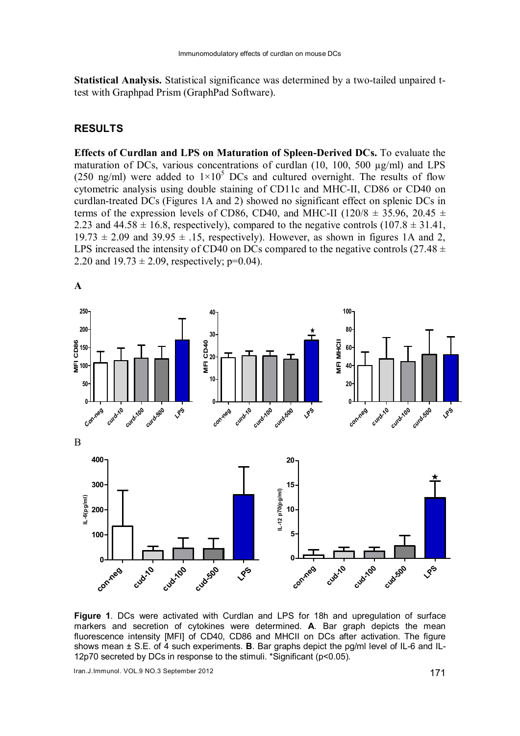Statistical Analysis. Statistical significance was determined by a two-tailed unpaired ttest with Graphpad Prism (GraphPad Software).

# RESULTS

Effects of Curdlan and LPS on Maturation of Spleen-Derived DCs. To evaluate the maturation of DCs, various concentrations of curdlan (10, 100, 500 µg/ml) and LPS (250 ng/ml) were added to  $1\times10^5$  DCs and cultured overnight. The results of flow cytometric analysis using double staining of CD11c and MHC-II, CD86 or CD40 on curdlan-treated DCs (Figures 1A and 2) showed no significant effect on splenic DCs in terms of the expression levels of CD86, CD40, and MHC-II (120/8  $\pm$  35.96, 20.45  $\pm$ 2.23 and  $44.58 \pm 16.8$ , respectively), compared to the negative controls (107.8  $\pm$  31.41,  $19.73 \pm 2.09$  and  $39.95 \pm .15$ , respectively). However, as shown in figures 1A and 2, LPS increased the intensity of CD40 on DCs compared to the negative controls (27.48  $\pm$ 2.20 and  $19.73 \pm 2.09$ , respectively; p=0.04).



Figure 1. DCs were activated with Curdlan and LPS for 18h and upregulation of surface markers and secretion of cytokines were determined. A. Bar graph depicts the mean fluorescence intensity [MFI] of CD40, CD86 and MHCII on DCs after activation. The figure shows mean  $\pm$  S.E. of 4 such experiments. **B**. Bar graphs depict the pg/ml level of IL-6 and IL-12p70 secreted by DCs in response to the stimuli. \*Significant (p<0.05).

Iran.J.Immunol. VOL.9 NO.3 September 2012 171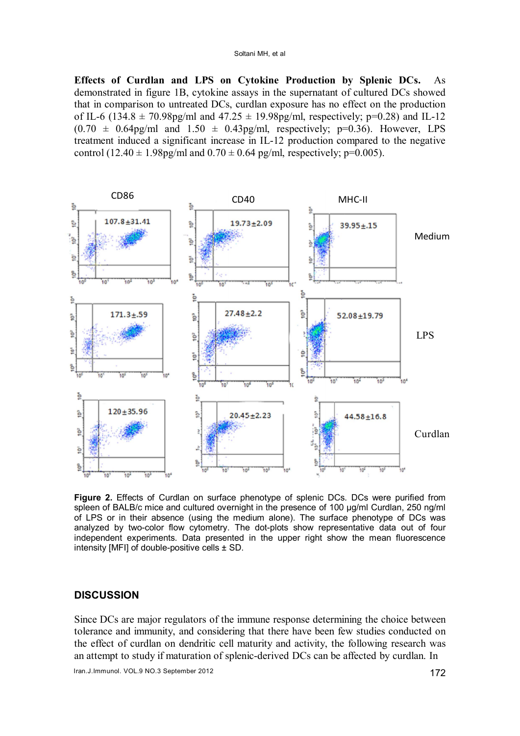Effects of Curdlan and LPS on Cytokine Production by Splenic DCs. As demonstrated in figure 1B, cytokine assays in the supernatant of cultured DCs showed that in comparison to untreated DCs, curdlan exposure has no effect on the production of IL-6 (134.8  $\pm$  70.98pg/ml and 47.25  $\pm$  19.98pg/ml, respectively; p=0.28) and IL-12  $(0.70 \pm 0.64$ pg/ml and  $1.50 \pm 0.43$ pg/ml, respectively; p=0.36). However, LPS treatment induced a significant increase in IL-12 production compared to the negative control (12.40  $\pm$  1.98pg/ml and 0.70  $\pm$  0.64 pg/ml, respectively; p=0.005).



Figure 2. Effects of Curdlan on surface phenotype of splenic DCs. DCs were purified from spleen of BALB/c mice and cultured overnight in the presence of 100 ug/ml Curdlan, 250 ng/ml of LPS or in their absence (using the medium alone). The surface phenotype of DCs was analyzed by two-color flow cytometry. The dot-plots show representative data out of four independent experiments. Data presented in the upper right show the mean fluorescence intensity [MFI] of double-positive cells ± SD.

#### **DISCUSSION**

Since DCs are major regulators of the immune response determining the choice between tolerance and immunity, and considering that there have been few studies conducted on the effect of curdlan on dendritic cell maturity and activity, the following research was an attempt to study if maturation of splenic-derived DCs can be affected by curdlan. In

Iran.J.Immunol. VOL.9 NO.3 September 2012 172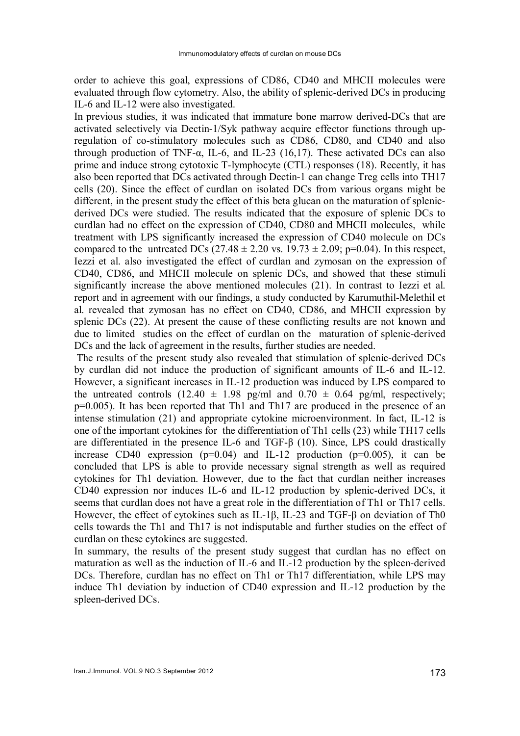order to achieve this goal, expressions of CD86, CD40 and MHCII molecules were evaluated through flow cytometry. Also, the ability of splenic-derived DCs in producing IL-6 and IL-12 were also investigated.

In previous studies, it was indicated that immature bone marrow derived-DCs that are activated selectively via Dectin-1/Syk pathway acquire effector functions through upregulation of co-stimulatory molecules such as CD86, CD80, and CD40 and also through production of TNF- $\alpha$ , IL-6, and IL-23 (16,17). These activated DCs can also prime and induce strong cytotoxic T-lymphocyte (CTL) responses (18). Recently, it has also been reported that DCs activated through Dectin-1 can change Treg cells into TH17 cells (20). Since the effect of curdlan on isolated DCs from various organs might be different, in the present study the effect of this beta glucan on the maturation of splenicderived DCs were studied. The results indicated that the exposure of splenic DCs to curdlan had no effect on the expression of CD40, CD80 and MHCII molecules, while treatment with LPS significantly increased the expression of CD40 molecule on DCs compared to the untreated DCs  $(27.48 \pm 2.20 \text{ vs. } 19.73 \pm 2.09 \text{ ; } p=0.04)$ . In this respect, Iezzi et al. also investigated the effect of curdlan and zymosan on the expression of CD40, CD86, and MHCII molecule on splenic DCs, and showed that these stimuli significantly increase the above mentioned molecules (21). In contrast to Iezzi et al. report and in agreement with our findings, a study conducted by Karumuthil-Melethil et al. revealed that zymosan has no effect on CD40, CD86, and MHCII expression by splenic DCs (22). At present the cause of these conflicting results are not known and due to limited studies on the effect of curdlan on the maturation of splenic-derived DCs and the lack of agreement in the results, further studies are needed.

 The results of the present study also revealed that stimulation of splenic-derived DCs by curdlan did not induce the production of significant amounts of IL-6 and IL-12. However, a significant increases in IL-12 production was induced by LPS compared to the untreated controls (12.40  $\pm$  1.98 pg/ml and 0.70  $\pm$  0.64 pg/ml, respectively; p=0.005). It has been reported that Th1 and Th17 are produced in the presence of an intense stimulation (21) and appropriate cytokine microenvironment. In fact, IL-12 is one of the important cytokines for the differentiation of Th1 cells (23) while TH17 cells are differentiated in the presence IL-6 and TGF-β (10). Since, LPS could drastically increase CD40 expression  $(p=0.04)$  and IL-12 production  $(p=0.005)$ , it can be concluded that LPS is able to provide necessary signal strength as well as required cytokines for Th1 deviation. However, due to the fact that curdlan neither increases CD40 expression nor induces IL-6 and IL-12 production by splenic-derived DCs, it seems that curdlan does not have a great role in the differentiation of Th1 or Th17 cells. However, the effect of cytokines such as IL-1β, IL-23 and TGF-β on deviation of Th0 cells towards the Th1 and Th17 is not indisputable and further studies on the effect of curdlan on these cytokines are suggested.

In summary, the results of the present study suggest that curdlan has no effect on maturation as well as the induction of IL-6 and IL-12 production by the spleen-derived DCs. Therefore, curdlan has no effect on Th1 or Th17 differentiation, while LPS may induce Th1 deviation by induction of CD40 expression and IL-12 production by the spleen-derived DCs.